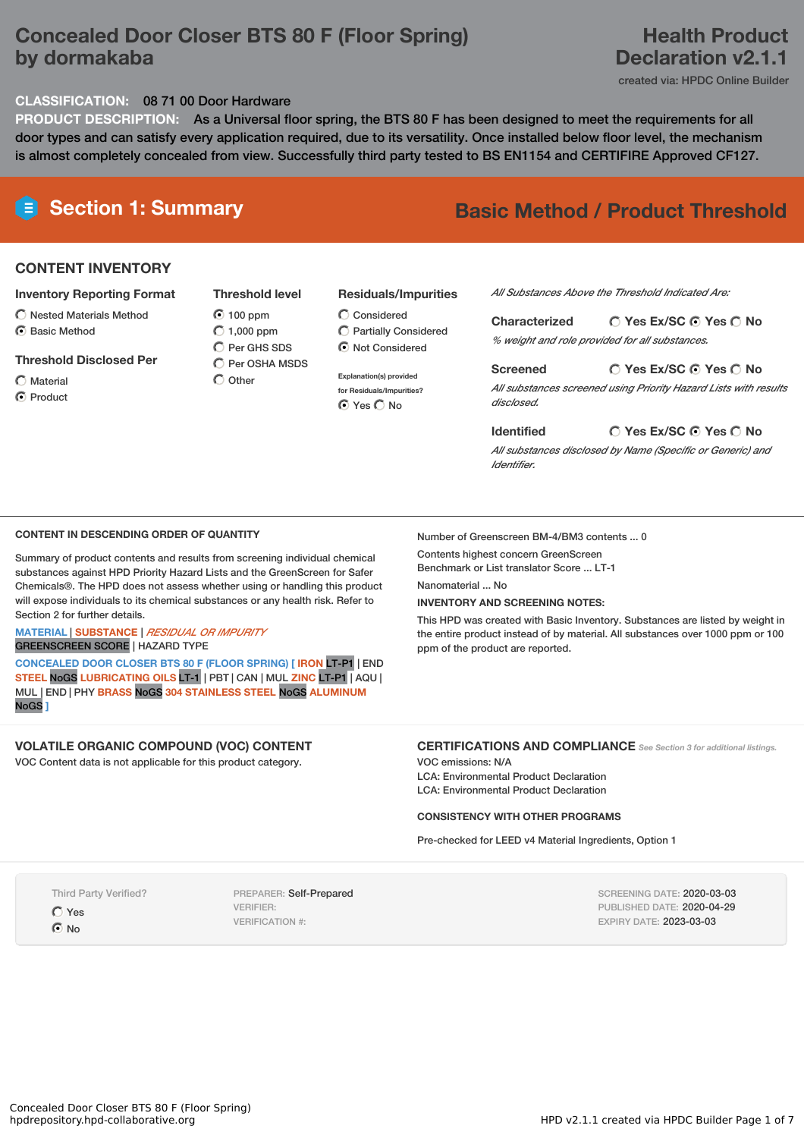## **Concealed Door Closer BTS 80 F (Floor Spring) by dormakaba**

## **Health Product Declaration v2.1.1**

created via: HPDC Online Builder

#### **CLASSIFICATION:** 08 71 00 Door Hardware

**PRODUCT DESCRIPTION:** As a Universal floor spring, the BTS 80 F has been designed to meet the requirements for all door types and can satisfy every application required, due to its versatility. Once installed below floor level, the mechanism is almost completely concealed from view. Successfully third party tested to BS EN1154 and CERTIFIRE Approved CF127.

## **Section 1: Summary Basic Method / Product Threshold**

#### **CONTENT INVENTORY**

#### **Inventory Reporting Format**

- $\bigcirc$  Nested Materials Method
- C Basic Method

#### **Threshold Disclosed Per**

- Material
- C Product

**Threshold level** 100 ppm  $O$  1,000 ppm  $\overline{O}$  Per GHS SDS  $\overline{O}$  Per OSHA MSDS

 $\bigcap$  Other

Partially Considered

**Explanation(s) provided for Residuals/Impurities?**

#### *All Substances Above the Threshold Indicated Are:*

**Yes Ex/SC Yes No Characterized** *% weight and role provided for all substances.*

**Yes Ex/SC Yes No Screened** *All substances screened using Priority Hazard Lists with results disclosed.*

### **Yes Ex/SC Yes No**

*All substances disclosed by Name (Specific or Generic) and Identifier.*

#### **CONTENT IN DESCENDING ORDER OF QUANTITY**

Summary of product contents and results from screening individual chemical substances against HPD Priority Hazard Lists and the GreenScreen for Safer Chemicals®. The HPD does not assess whether using or handling this product will expose individuals to its chemical substances or any health risk. Refer to Section 2 for further details.

#### **MATERIAL** | **SUBSTANCE** | *RESIDUAL OR IMPURITY* GREENSCREEN SCORE | HAZARD TYPE

**CONCEALED DOOR CLOSER BTS 80 F (FLOOR SPRING) [ IRON** LT-P1 | END **STEEL** NoGS **LUBRICATING OILS** LT-1 | PBT | CAN | MUL **ZINC** LT-P1 | AQU | MUL | END | PHY **BRASS** NoGS **304 STAINLESS STEEL** NoGS **ALUMINUM** NoGS **]**

#### **VOLATILE ORGANIC COMPOUND (VOC) CONTENT**

VOC Content data is not applicable for this product category.

#### Number of Greenscreen BM-4/BM3 contents ... 0

Contents highest concern GreenScreen Benchmark or List translator Score ... LT-1

**Identified**

Nanomaterial ... No

#### **INVENTORY AND SCREENING NOTES:**

This HPD was created with Basic Inventory. Substances are listed by weight in the entire product instead of by material. All substances over 1000 ppm or 100 ppm of the product are reported.

#### **CERTIFICATIONS AND COMPLIANCE** *See Section <sup>3</sup> for additional listings.*

VOC emissions: N/A LCA: Environmental Product Declaration LCA: Environmental Product Declaration

#### **CONSISTENCY WITH OTHER PROGRAMS**

Pre-checked for LEED v4 Material Ingredients, Option 1

Third Party Verified?

Yes No

PREPARER: Self-Prepared VERIFIER: VERIFICATION #:

SCREENING DATE: 2020-03-03 PUBLISHED DATE: 2020-04-29 EXPIRY DATE: 2023-03-03

# **Residuals/Impurities** Considered

 $\odot$  Not Considered

⊙ Yes O No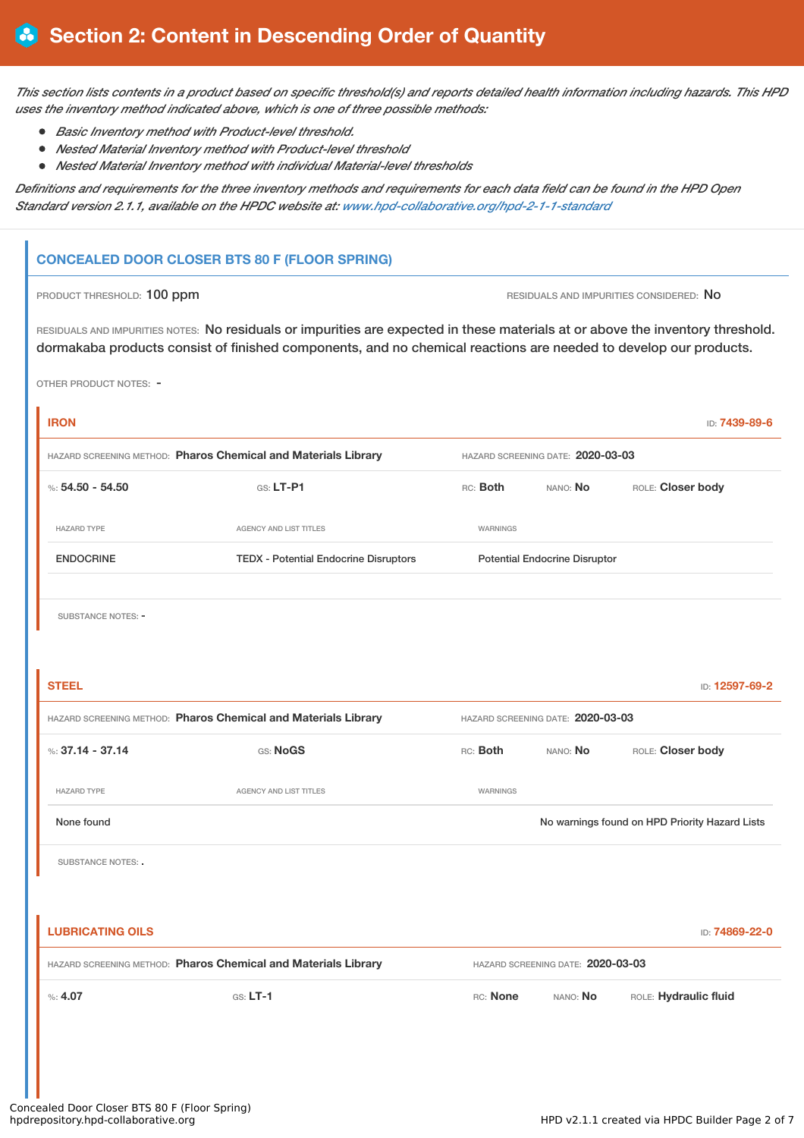This section lists contents in a product based on specific threshold(s) and reports detailed health information including hazards. This HPD *uses the inventory method indicated above, which is one of three possible methods:*

- *Basic Inventory method with Product-level threshold.*
- *Nested Material Inventory method with Product-level threshold*
- *Nested Material Inventory method with individual Material-level thresholds*

Definitions and requirements for the three inventory methods and requirements for each data field can be found in the HPD Open *Standard version 2.1.1, available on the HPDC website at: [www.hpd-collaborative.org/hpd-2-1-1-standard](https://www.hpd-collaborative.org/hpd-2-1-1-standard)*

#### **CONCEALED DOOR CLOSER BTS 80 F (FLOOR SPRING)**

PRODUCT THRESHOLD: 100 ppm **RESIDUALS** AND IMPURITIES CONSIDERED: No

RESIDUALS AND IMPURITIES NOTES: No residuals or impurities are expected in these materials at or above the inventory threshold. dormakaba products consist of finished components, and no chemical reactions are needed to develop our products.

OTHER PRODUCT NOTES: -

| <b>IRON</b>                                                    |                                              |                                                |                               | ID: 7439-89-6         |  |  |
|----------------------------------------------------------------|----------------------------------------------|------------------------------------------------|-------------------------------|-----------------------|--|--|
| HAZARD SCREENING METHOD: Pharos Chemical and Materials Library |                                              | HAZARD SCREENING DATE: 2020-03-03              |                               |                       |  |  |
| %: $54.50 - 54.50$                                             | GS: LT-P1                                    | RC: Both                                       | ROLE: Closer body<br>NANO: No |                       |  |  |
| <b>HAZARD TYPE</b>                                             | <b>AGENCY AND LIST TITLES</b>                | WARNINGS                                       |                               |                       |  |  |
| <b>ENDOCRINE</b>                                               | <b>TEDX - Potential Endocrine Disruptors</b> | <b>Potential Endocrine Disruptor</b>           |                               |                       |  |  |
| SUBSTANCE NOTES: -                                             |                                              |                                                |                               |                       |  |  |
| <b>STEEL</b>                                                   |                                              |                                                |                               | ID: 12597-69-2        |  |  |
| HAZARD SCREENING METHOD: Pharos Chemical and Materials Library | HAZARD SCREENING DATE: 2020-03-03            |                                                |                               |                       |  |  |
| %: $37.14 - 37.14$                                             | GS: NoGS                                     | RC: Both                                       | ROLE: Closer body<br>NANO: No |                       |  |  |
| <b>HAZARD TYPE</b>                                             | AGENCY AND LIST TITLES                       | WARNINGS                                       |                               |                       |  |  |
| None found                                                     |                                              | No warnings found on HPD Priority Hazard Lists |                               |                       |  |  |
| <b>SUBSTANCE NOTES:</b>                                        |                                              |                                                |                               |                       |  |  |
|                                                                |                                              |                                                |                               |                       |  |  |
| <b>LUBRICATING OILS</b><br>ID: 74869-22-0                      |                                              |                                                |                               |                       |  |  |
| HAZARD SCREENING METHOD: Pharos Chemical and Materials Library |                                              | HAZARD SCREENING DATE: 2020-03-03              |                               |                       |  |  |
| %: 4.07                                                        | $GS: LT-1$                                   | RC: None                                       | NANO: No                      | ROLE: Hydraulic fluid |  |  |
|                                                                |                                              |                                                |                               |                       |  |  |
|                                                                |                                              |                                                |                               |                       |  |  |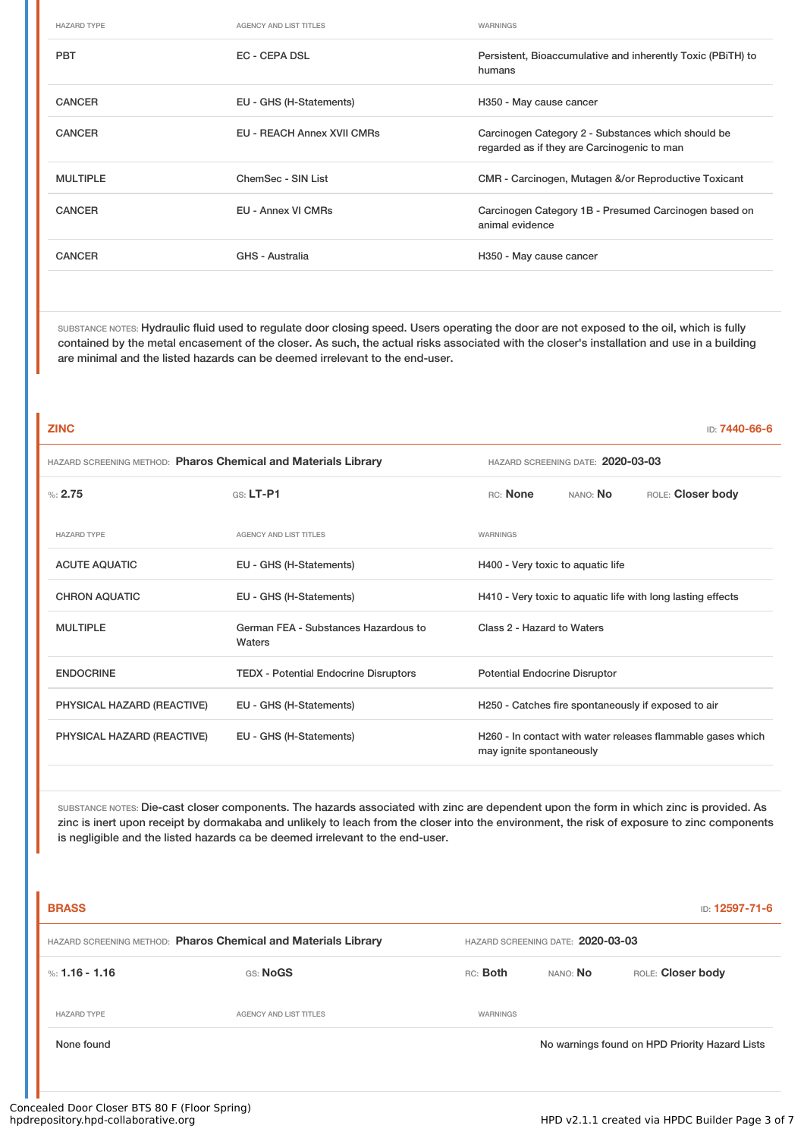| <b>HAZARD TYPE</b> | <b>AGENCY AND LIST TITLES</b>     | WARNINGS                                                                                          |
|--------------------|-----------------------------------|---------------------------------------------------------------------------------------------------|
| <b>PBT</b>         | EC - CEPA DSL                     | Persistent, Bioaccumulative and inherently Toxic (PBITH) to<br>humans                             |
| <b>CANCER</b>      | EU - GHS (H-Statements)           | H350 - May cause cancer                                                                           |
| <b>CANCER</b>      | <b>EU - REACH Annex XVII CMRs</b> | Carcinogen Category 2 - Substances which should be<br>regarded as if they are Carcinogenic to man |
| <b>MULTIPLE</b>    | ChemSec - SIN List                | CMR - Carcinogen, Mutagen &/or Reproductive Toxicant                                              |
| <b>CANCER</b>      | EU - Annex VI CMRs                | Carcinogen Category 1B - Presumed Carcinogen based on<br>animal evidence                          |
| <b>CANCER</b>      | GHS - Australia                   | H350 - May cause cancer                                                                           |

SUBSTANCE NOTES: Hydraulic fluid used to regulate door closing speed. Users operating the door are not exposed to the oil, which is fully contained by the metal encasement of the closer. As such, the actual risks associated with the closer's installation and use in a building are minimal and the listed hazards can be deemed irrelevant to the end-user.

| <b>ZINC</b>                                                    |                                                |                                                             |  | ID: 7440-66-6                                               |  |
|----------------------------------------------------------------|------------------------------------------------|-------------------------------------------------------------|--|-------------------------------------------------------------|--|
| HAZARD SCREENING METHOD: Pharos Chemical and Materials Library |                                                | HAZARD SCREENING DATE: 2020-03-03                           |  |                                                             |  |
| $\%: 2.75$                                                     | $GS: LT-P1$                                    | RC: None<br>ROLE: Closer body<br>NANO: No                   |  |                                                             |  |
| <b>HAZARD TYPE</b>                                             | <b>AGENCY AND LIST TITLES</b>                  | WARNINGS                                                    |  |                                                             |  |
| <b>ACUTE AQUATIC</b>                                           | EU - GHS (H-Statements)                        | H400 - Very toxic to aquatic life                           |  |                                                             |  |
| <b>CHRON AQUATIC</b>                                           | EU - GHS (H-Statements)                        | H410 - Very toxic to aquatic life with long lasting effects |  |                                                             |  |
| <b>MULTIPLE</b>                                                | German FEA - Substances Hazardous to<br>Waters | Class 2 - Hazard to Waters                                  |  |                                                             |  |
| <b>ENDOCRINE</b>                                               | <b>TEDX - Potential Endocrine Disruptors</b>   | <b>Potential Endocrine Disruptor</b>                        |  |                                                             |  |
| PHYSICAL HAZARD (REACTIVE)                                     | EU - GHS (H-Statements)                        |                                                             |  | H250 - Catches fire spontaneously if exposed to air         |  |
| PHYSICAL HAZARD (REACTIVE)                                     | EU - GHS (H-Statements)                        | may ignite spontaneously                                    |  | H260 - In contact with water releases flammable gases which |  |
|                                                                |                                                |                                                             |  |                                                             |  |

SUBSTANCE NOTES: Die-cast closer components. The hazards associated with zinc are dependent upon the form in which zinc is provided. As zinc is inert upon receipt by dormakaba and unlikely to leach from the closer into the environment, the risk of exposure to zinc components is negligible and the listed hazards ca be deemed irrelevant to the end-user.

| <b>BRASS</b><br>ID: 12597-71-6                                                                      |                               |          |          |                                                |  |  |
|-----------------------------------------------------------------------------------------------------|-------------------------------|----------|----------|------------------------------------------------|--|--|
| HAZARD SCREENING METHOD: Pharos Chemical and Materials Library<br>HAZARD SCREENING DATE: 2020-03-03 |                               |          |          |                                                |  |  |
| %: $1.16 - 1.16$                                                                                    | <b>GS: NoGS</b>               | RC: Both | NANO: No | ROLE: Closer body                              |  |  |
| <b>HAZARD TYPE</b>                                                                                  | <b>AGENCY AND LIST TITLES</b> | WARNINGS |          |                                                |  |  |
| None found                                                                                          |                               |          |          | No warnings found on HPD Priority Hazard Lists |  |  |
|                                                                                                     |                               |          |          |                                                |  |  |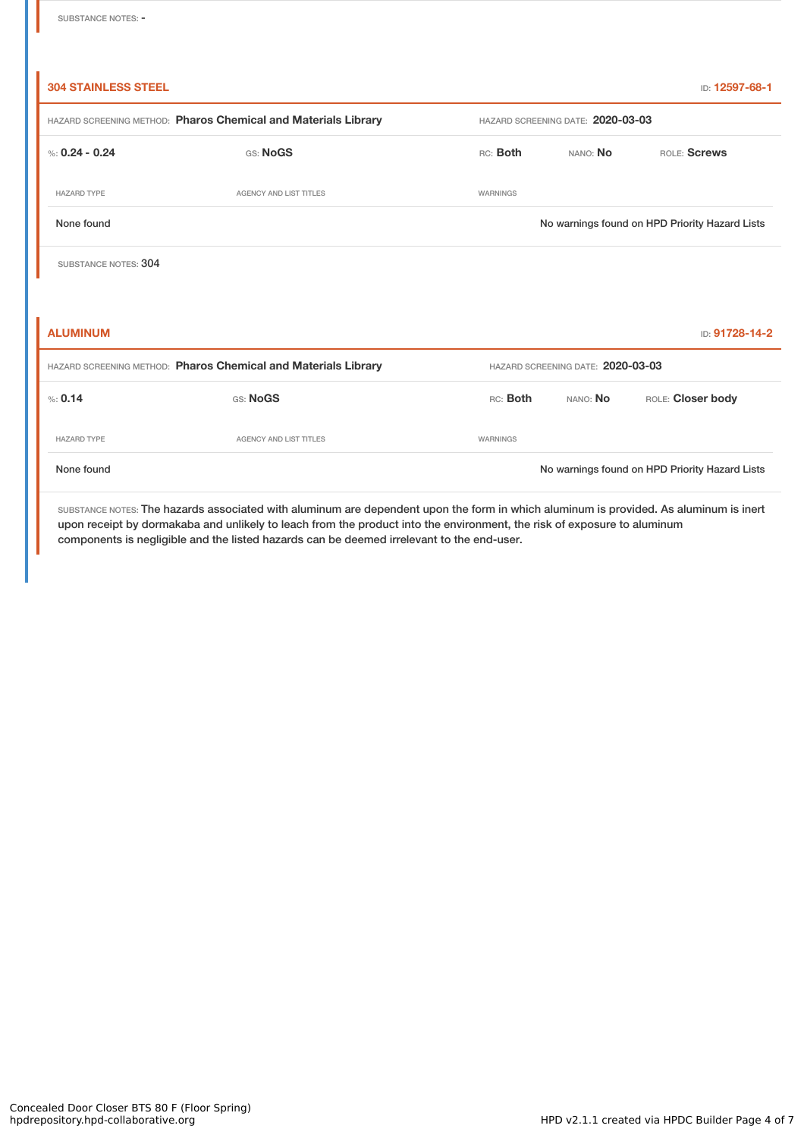| <b>304 STAINLESS STEEL</b><br>ID: 12597-68-1                   |                               |                                                |                                   |                                                |  |  |
|----------------------------------------------------------------|-------------------------------|------------------------------------------------|-----------------------------------|------------------------------------------------|--|--|
| HAZARD SCREENING METHOD: Pharos Chemical and Materials Library |                               |                                                | HAZARD SCREENING DATE: 2020-03-03 |                                                |  |  |
| %: $0.24 - 0.24$                                               | GS: NoGS                      | RC: Both                                       | ROLE: Screws<br>NANO: No          |                                                |  |  |
| <b>HAZARD TYPE</b>                                             | <b>AGENCY AND LIST TITLES</b> | WARNINGS                                       |                                   |                                                |  |  |
| None found                                                     |                               | No warnings found on HPD Priority Hazard Lists |                                   |                                                |  |  |
| SUBSTANCE NOTES: 304                                           |                               |                                                |                                   |                                                |  |  |
|                                                                |                               |                                                |                                   |                                                |  |  |
| <b>ALUMINUM</b>                                                |                               |                                                |                                   | ID: 91728-14-2                                 |  |  |
| HAZARD SCREENING METHOD: Pharos Chemical and Materials Library |                               | HAZARD SCREENING DATE: 2020-03-03              |                                   |                                                |  |  |
| % 0.14                                                         | GS: NoGS                      | RC: Both                                       | NANO: No                          | ROLE: Closer body                              |  |  |
| <b>HAZARD TYPE</b>                                             | <b>AGENCY AND LIST TITLES</b> | WARNINGS                                       |                                   |                                                |  |  |
| None found                                                     |                               |                                                |                                   | No warnings found on HPD Priority Hazard Lists |  |  |

SUBSTANCE NOTES: The hazards associated with aluminum are dependent upon the form in which aluminum is provided. As aluminum is inert upon receipt by dormakaba and unlikely to leach from the product into the environment, the risk of exposure to aluminum components is negligible and the listed hazards can be deemed irrelevant to the end-user.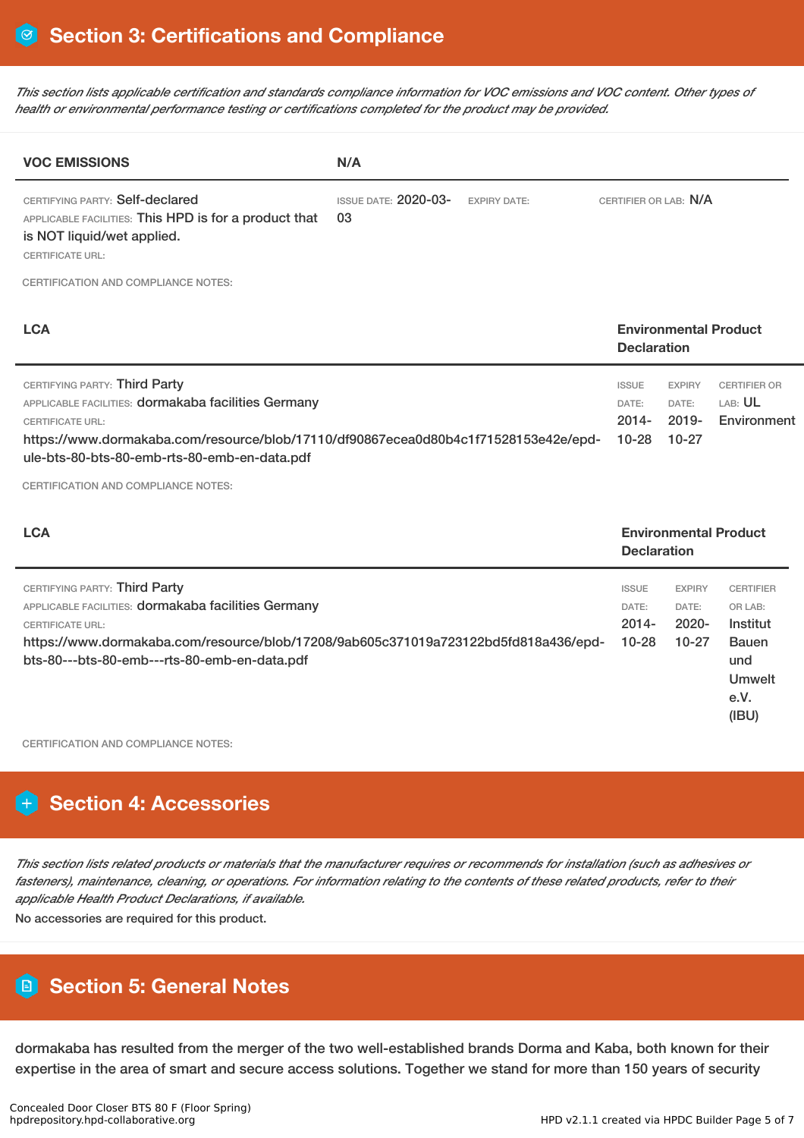This section lists applicable certification and standards compliance information for VOC emissions and VOC content. Other types of *health or environmental performance testing or certifications completed for the product may be provided.*

| <b>VOC EMISSIONS</b>                                                                                                                                                                                                                                   | N/A                                                      |                                                |                                                 |                                               |
|--------------------------------------------------------------------------------------------------------------------------------------------------------------------------------------------------------------------------------------------------------|----------------------------------------------------------|------------------------------------------------|-------------------------------------------------|-----------------------------------------------|
| CERTIFYING PARTY: Self-declared<br>APPLICABLE FACILITIES: This HPD is for a product that<br>is NOT liquid/wet applied.<br><b>CERTIFICATE URL:</b>                                                                                                      | <b>ISSUE DATE: 2020-03-</b><br><b>EXPIRY DATE:</b><br>03 |                                                | CERTIFIER OR LAB: N/A                           |                                               |
| <b>CERTIFICATION AND COMPLIANCE NOTES:</b>                                                                                                                                                                                                             |                                                          |                                                |                                                 |                                               |
| <b>LCA</b>                                                                                                                                                                                                                                             |                                                          | <b>Declaration</b>                             |                                                 | <b>Environmental Product</b>                  |
| CERTIFYING PARTY: Third Party<br>APPLICABLE FACILITIES: dormakaba facilities Germany<br><b>CERTIFICATE URL:</b><br>https://www.dormakaba.com/resource/blob/17110/df90867ecea0d80b4c1f71528153e42e/epd-<br>ule-bts-80-bts-80-emb-rts-80-emb-en-data.pdf |                                                          | <b>ISSUE</b><br>DATE:<br>$2014 -$<br>$10 - 28$ | <b>EXPIRY</b><br>DATE:<br>$2019 -$<br>$10 - 27$ | <b>CERTIFIER OR</b><br>LAB: UL<br>Environment |
| <b>CERTIFICATION AND COMPLIANCE NOTES:</b>                                                                                                                                                                                                             |                                                          |                                                |                                                 |                                               |
| <b>LCA</b>                                                                                                                                                                                                                                             |                                                          | <b>Declaration</b>                             |                                                 | <b>Environmental Product</b>                  |

| <b>ISSUE</b> | <b>EXPIRY</b> | <b>CERTIFIER</b> |
|--------------|---------------|------------------|
| DATE:        | DATE:         | OR LAB:          |
| $2014 -$     | $2020 -$      | Institut         |
| $10 - 28$    | $10 - 27$     | <b>Bauen</b>     |
|              |               | und              |
|              |               | <b>Umwelt</b>    |
|              |               | e.V.             |
|              |               | (IBU)            |
|              |               |                  |

CERTIFICATION AND COMPLIANCE NOTES:

## **Section 4: Accessories**

This section lists related products or materials that the manufacturer requires or recommends for installation (such as adhesives or fasteners), maintenance, cleaning, or operations. For information relating to the contents of these related products, refer to their *applicable Health Product Declarations, if available.*

No accessories are required for this product.

## **Section 5: General Notes**

dormakaba has resulted from the merger of the two well-established brands Dorma and Kaba, both known for their expertise in the area of smart and secure access solutions. Together we stand for more than 150 years of security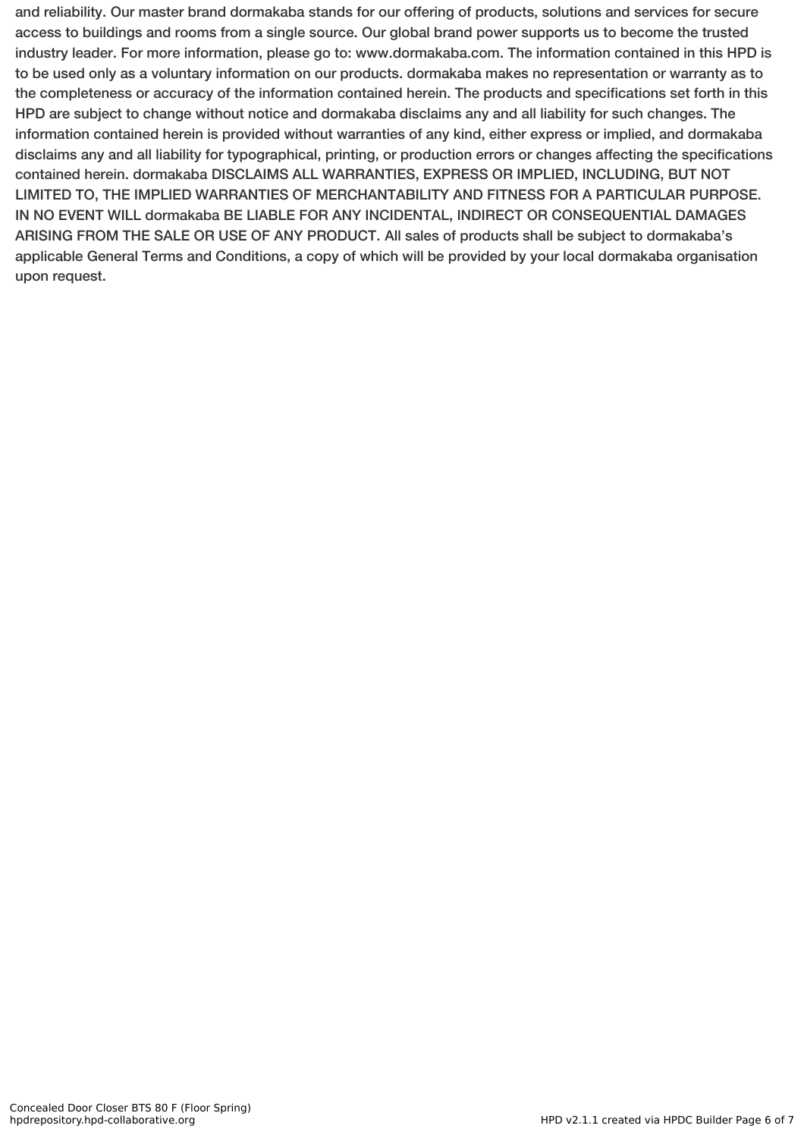and reliability. Our master brand dormakaba stands for our offering of products, solutions and services for secure access to buildings and rooms from a single source. Our global brand power supports us to become the trusted industry leader. For more information, please go to: www.dormakaba.com. The information contained in this HPD is to be used only as a voluntary information on our products. dormakaba makes no representation or warranty as to the completeness or accuracy of the information contained herein. The products and specifications set forth in this HPD are subject to change without notice and dormakaba disclaims any and all liability for such changes. The information contained herein is provided without warranties of any kind, either express or implied, and dormakaba disclaims any and all liability for typographical, printing, or production errors or changes affecting the specifications contained herein. dormakaba DISCLAIMS ALL WARRANTIES, EXPRESS OR IMPLIED, INCLUDING, BUT NOT LIMITED TO, THE IMPLIED WARRANTIES OF MERCHANTABILITY AND FITNESS FOR A PARTICULAR PURPOSE. IN NO EVENT WILL dormakaba BE LIABLE FOR ANY INCIDENTAL, INDIRECT OR CONSEQUENTIAL DAMAGES ARISING FROM THE SALE OR USE OF ANY PRODUCT. All sales of products shall be subject to dormakaba's applicable General Terms and Conditions, a copy of which will be provided by your local dormakaba organisation upon request.